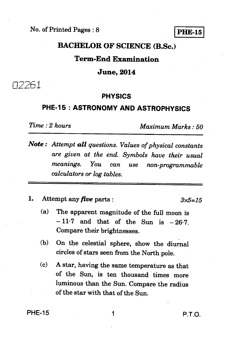No. of Printed Pages : 8 **PHE-15** 

## **BACHELOR OF SCIENCE (B.Sc.)**

## **Term-End Examination**

## **June, 2014**

02261

## **PHYSICS**

# **PHE-15 : ASTRONOMY AND ASTROPHYSICS**

*Time : 2 hours Maximum Marks : 50* 

- *Note : Attempt all questions. Values of physical constants are given at the end. Symbols have their usual meanings. You can use non programmable calculators or log tables.*
- **1.** Attempt any *five* parts :  $3 \times 5 = 15$

- **(a) The apparent magnitude of the full moon is**   $-11.7$  and that of the Sun is  $-26.7$ . **Compare their brightnesses.**
- **(b) On the celestial sphere, show the diurnal circles of stars seen from the North pole.**
- **(c) A star, having the same temperature as that of the Sun, is ten thousand times more luminous than the Sun. Compare the radius of the star with that of the Sun.**

**PHE-15** 1 **P.T.O.**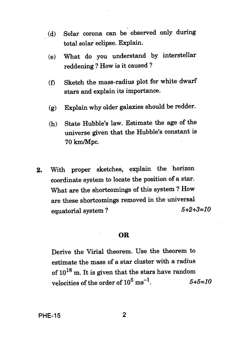- (d) Solar corona can be observed only during total solar eclipse. Explain.
	- (e) What do you understand by interstellar reddening ? How is it caused ?
	- (f) Sketch the mass-radius plot for white dwarf stars and explain its importance.
	- (g) Explain why older galaxies should be redder.
	- (h) State Hubble's law. Estimate the age of the universe given that the Hubble's constant is 70 km/Mpc.
- **2.** With proper sketches, explain the horizon coordinate system to locate the position of a star. What are the shortcomings of this system ? How are these shortcomings removed in the universal equatorial system ?  $5+2+3=10$

### **OR**

Derive the Virial theorem. Use the theorem to estimate the mass of a star cluster with a radius of  $10^{18}$  m. It is given that the stars have random velocities of the order of  $10^5 \text{ ms}^{-1}$ .  $5+5=10$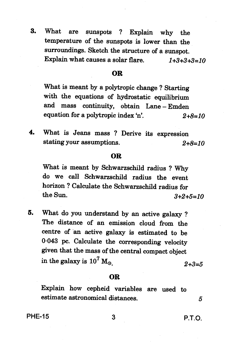**3. What are sunspots ? Explain why the temperature of the sunspots is lower than the surroundings. Sketch the structure of a sunspot. Explain what causes a solar flare.**  $1+3+3+3=10$ 

## **OR**

**What is meant by a polytropic change ? Starting with the equations of hydrostatic equilibrium and mass continuity, obtain Lane — Emden equation for a polytropic index 'n'.** 2+8=10

**4. What is Jeans mass ? Derive its expression stating your assumptions.** 2+8=10

### **OR**

**What is meant by Schwarzschild radius ? Why do we call Schwarzschild radius the event horizon ? Calculate the Schwarzschild radius for the Sun.** 3+2+5=10

**5. What do you understand by an active galaxy ? The distance of an emission cloud from the centre of an active galaxy is estimated to be 0.043 pc. Calculate the corresponding velocity given that the mass of the central compact object**  in the galaxy is  $10^7 M_{\odot}$  .  $2+3=5$ 

#### **OR**

**Explain how cepheid variables are used to estimate astronomical distances. 5**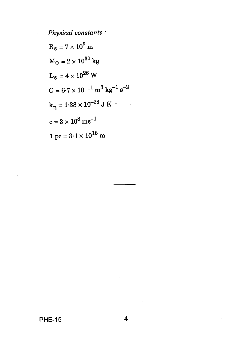*Physical constants :* 

$$
R_{\odot} = 7 \times 10^{8} \text{ m}
$$
  
\n
$$
M_{\odot} = 2 \times 10^{30} \text{ kg}
$$
  
\n
$$
L_{\odot} = 4 \times 10^{26} \text{ W}
$$
  
\n
$$
G = 6.7 \times 10^{-11} \text{ m}^{3} \text{ kg}^{-1} \text{ s}^{-2}
$$
  
\n
$$
k_{\text{B}} = 1.38 \times 10^{-23} \text{ J K}^{-1}
$$
  
\n
$$
c = 3 \times 10^{8} \text{ m s}^{-1}
$$
  
\n
$$
1 \text{ pc} = 3.1 \times 10^{16} \text{ m}
$$

**PHE-15 4**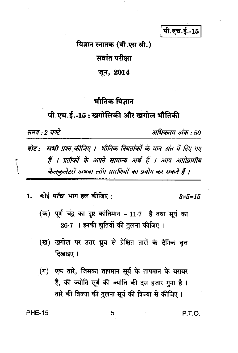पी.एच.ई.-15

# विज्ञान स्नातक (बी.एस सी.) सत्रांत परीक्षा

## जून, 2014

# भौतिक विज्ञान

# पी.एच.ई.-15: खगोलिकी और खगोल भौतिकी

समय : 2 घण्टे

 $\mathbf{L}_{\text{unstable}}$ 

अधिकतम अंक : 50

सभी प्रश्न कीजिए । भौतिक नियतांकों के मान अंत में दिए गए नोट: हैं । प्रतीकों के अपने सामान्य अर्थ हैं । आप अप्रोग्रामीय कैलकुलेटरों अथवा लॉग सारणियों का प्रयोग कर सकते हैं ।

कोई *पाँच* भाग हल कीजिए :  $\mathbf{1}$ .

 $3x5 = 15$ 

- (क) पूर्ण चंद्र का दृष्ट कांतिमान  $-11.7$  है तथा सूर्य का – 26·7 । इनकी द्युतियों की तुलना कीजिए ।
- (ख) खगोल पर उत्तर ध्रुव से प्रेक्षित तारों के दैनिक वृत्त दिखाइए ।
- (ग) एक तारे, जिसका तापमान सूर्य के तापमान के बराबर है, की ज्योति सूर्य की ज्योति की दस हजार गुना है। तारे की त्रिज्या की तुलना सूर्य की त्रिज्या से कीजिए ।

**PHE-15** 

P.T.O.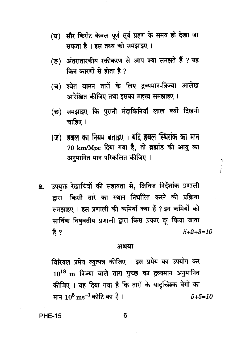- (घ) सौर किरीट केवल पूर्ण सूर्य ग्रहण के समय ही देखा जा सकता है। इस तथ्य को समझाइए।
- (ङ) अंतरातारकीय रक्तीकरण से आप क्या समझते हैं ? यह किन कारणों से होता है ?
- (च) श्वेत वामन तारों के लिए द्रव्यमान-त्रिज्या आलेख आरेखित कीजिए तथा इसका महत्त्व समझाइए ।
- (छ) समझाइए कि पुरानी मंदाकिनियाँ लाल क्यों दिखनी चाहिए ।
- (ज) हबल का नियम बताइए । यदि हबल स्थिरांक का मान 70 km/Mpc दिया गया है, तो ब्रह्मांड की आयु का अनुमानित मान परिकलित कीजिए ।
- उपयुक्त रेखाचित्रों की सहायता से, क्षितिज निर्देशांक प्रणाली  $2.$ द्वारा किसी तारे का स्थान निर्धारित करने की प्रक्रिया समझाइए । इस प्रणाली की कमियाँ क्या हैं ? इन कमियों को सार्विक विषुवतीय प्रणाली द्वारा किस प्रकार दर किया जाता है ?  $5 + 2 + 3 = 10$

## अथवा

विरियल प्रमेय व्युत्पन्न कीजिए । इस प्रमेय का उपयोग कर  $10^{18}$  m त्रिज्या वाले तारा गुच्छ का द्रव्यमान अनुमानित कीजिए । यह दिया गया है कि तारों के यादृच्छिक वेगों का मान  $10^5\,{\rm m s}^{-1}$ कोटि का है।  $5 + 5 = 10$ 

**PHE-15** 

6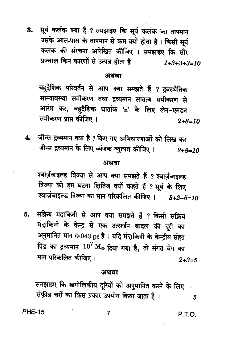3. सूर्य कलंक क्या हैं ? समझाइए कि सूर्य कलंक का तापमान उसके आस-पास के तापमान से कम क्यों होता है। किसी सूर्य कलंक की संरचना आरेखित कीजिए । समझाइए कि सौर प्रज्वाल किन कारणों से उत्पन्न होता है।  $1+3+3+3=10$ 

## अथवा

बहुदैशिक परिवर्तन से आप क्या समझते हैं ? द्रवस्थैतिक साम्यावस्था समीकरण तथा द्रव्यमान सांतत्य समीकरण से आरंभ कर, बहुदैशिक घातांक 'n' के लिए लेन-एमडन समीकरण प्राप्त कीजिए ।  $2 + 8 = 10$ 

जीन्स द्रव्यमान क्या है ? किए गए अभिधारणाओं को लिख कर  $4.$ जीन्स द्रव्यमान के लिए व्यंजक व्युत्पन्न कीजिए ।  $2 + 8 = 10$ 

## अथवा

श्वार्ज़चाइल्ड त्रिज्या से आप क्या समझते हैं ? श्वार्ज़चाइल्ड त्रिज्या को हम घटना क्षितिज क्यों कहते हैं ? सूर्य के लिए श्वार्ज़चाइल्ड त्रिज्या का मान परिकलित कीजिए ।  $3+2+5=10$ 

सक्रिय मंदाकिनी से आप क्या समझते हैं ? किसी सक्रिय 5. मंदाकिनी के केन्द्र से एक उत्सर्जन बादल की दूरी का अनुमानित मान 0.043 pc है । यदि मंदाकिनी के केन्द्रीय संहत पिंड का द्रव्यमान  $10^7 \ {\rm M}_{\odot}$  दिया गया है, तो संगत वेग का मान परिकलित कीजिए ।  $2 + 3 = 5$ 

### अथवा

7

समझाइए कि खगोलिकीय दूरियों को अनुमानित करने के लिए सेफ़ीड चरों का किस प्रकार उपयोग किया जाता है।

**PHE-15** 

P.T.O.

5